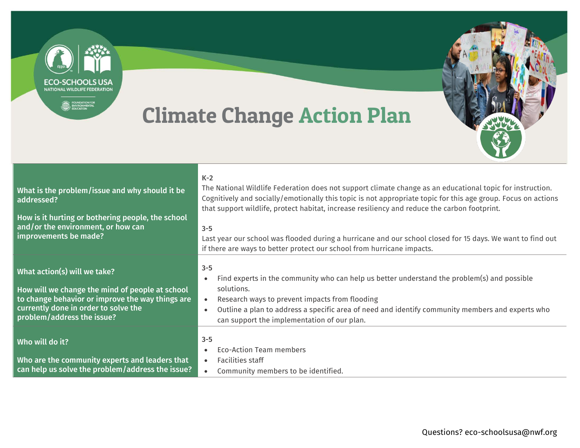**ECO-SCHOOLS USA** NATIONAL WILDLIFE FEDERATION

 $\begin{tabular}{c} \hline \textbf{E} & \textbf{D} \textbf{UNDATION FOR} \\ \hline \textbf{E} & \textbf{E} \textbf{D} \textbf{U} \textbf{E} \textbf{O} \textbf{N} \textbf{M} \textbf{E} \textbf{N} \textbf{TA} \textbf{L} \\ \hline \textbf{D} \textbf{U} \textbf{C} \textbf{A} \textbf{T} \textbf{O} \textbf{N} \end{tabular}$ 

## Climate Change Action Plan



| What is the problem/issue and why should it be<br>addressed?<br>How is it hurting or bothering people, the school<br>and/or the environment, or how can<br>improvements be made?                          | $K-2$<br>The National Wildlife Federation does not support climate change as an educational topic for instruction.<br>Cognitively and socially/emotionally this topic is not appropriate topic for this age group. Focus on actions<br>that support wildlife, protect habitat, increase resiliency and reduce the carbon footprint.<br>$3 - 5$<br>Last year our school was flooded during a hurricane and our school closed for 15 days. We want to find out<br>if there are ways to better protect our school from hurricane impacts. |
|-----------------------------------------------------------------------------------------------------------------------------------------------------------------------------------------------------------|----------------------------------------------------------------------------------------------------------------------------------------------------------------------------------------------------------------------------------------------------------------------------------------------------------------------------------------------------------------------------------------------------------------------------------------------------------------------------------------------------------------------------------------|
| What action(s) will we take?<br>How will we change the mind of people at school<br>to change behavior or improve the way things are<br>currently done in order to solve the<br>problem/address the issue? | $3 - 5$<br>Find experts in the community who can help us better understand the problem(s) and possible<br>$\bullet$<br>solutions.<br>Research ways to prevent impacts from flooding<br>Outline a plan to address a specific area of need and identify community members and experts who<br>$\bullet$<br>can support the implementation of our plan.                                                                                                                                                                                    |
| Who will do it?<br>Who are the community experts and leaders that<br>can help us solve the problem/address the issue?                                                                                     | $3 - 5$<br>Eco-Action Team members<br>Facilities staff<br>$\bullet$<br>Community members to be identified.<br>$\bullet$                                                                                                                                                                                                                                                                                                                                                                                                                |